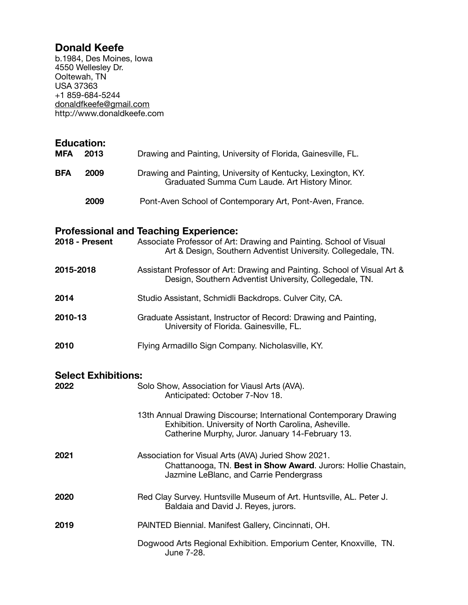## **Donald Keefe**

b.1984, Des Moines, Iowa 4550 Wellesley Dr. Ooltewah, TN USA 37363 +1 859-684-5244 [donaldfkeefe@gmail.com](mailto:donaldfkeefe@gmail.com) http://www.donaldkeefe.com

| <b>Education:</b> | 2013                       |                                                                                                                                                                                     |
|-------------------|----------------------------|-------------------------------------------------------------------------------------------------------------------------------------------------------------------------------------|
| <b>MFA</b>        |                            | Drawing and Painting, University of Florida, Gainesville, FL.                                                                                                                       |
| <b>BFA</b>        | 2009                       | Drawing and Painting, University of Kentucky, Lexington, KY.<br>Graduated Summa Cum Laude. Art History Minor.                                                                       |
|                   | 2009                       | Pont-Aven School of Contemporary Art, Pont-Aven, France.                                                                                                                            |
| 2018 - Present    |                            | <b>Professional and Teaching Experience:</b><br>Associate Professor of Art: Drawing and Painting. School of Visual<br>Art & Design, Southern Adventist University. Collegedale, TN. |
| 2015-2018         |                            | Assistant Professor of Art: Drawing and Painting. School of Visual Art &<br>Design, Southern Adventist University, Collegedale, TN.                                                 |
| 2014              |                            | Studio Assistant, Schmidli Backdrops. Culver City, CA.                                                                                                                              |
| 2010-13           |                            | Graduate Assistant, Instructor of Record: Drawing and Painting,<br>University of Florida. Gainesville, FL.                                                                          |
| 2010              |                            | Flying Armadillo Sign Company. Nicholasville, KY.                                                                                                                                   |
|                   | <b>Select Exhibitions:</b> |                                                                                                                                                                                     |
| 2022              |                            | Solo Show, Association for Viausl Arts (AVA).<br>Anticipated: October 7-Nov 18.                                                                                                     |
|                   |                            | 13th Annual Drawing Discourse; International Contemporary Drawing<br>Exhibition. University of North Carolina, Asheville.<br>Catherine Murphy, Juror. January 14-February 13.       |
| 2021              |                            | Association for Visual Arts (AVA) Juried Show 2021.<br>Chattanooga, TN. Best in Show Award. Jurors: Hollie Chastain,<br>Jazmine LeBlanc, and Carrie Pendergrass                     |
| 2020              |                            | Red Clay Survey. Huntsville Museum of Art. Huntsville, AL. Peter J.<br>Baldaia and David J. Reyes, jurors.                                                                          |
| 2019              |                            | PAINTED Biennial. Manifest Gallery, Cincinnati, OH.                                                                                                                                 |
|                   |                            | Dogwood Arts Regional Exhibition. Emporium Center, Knoxville, TN.<br>June 7-28.                                                                                                     |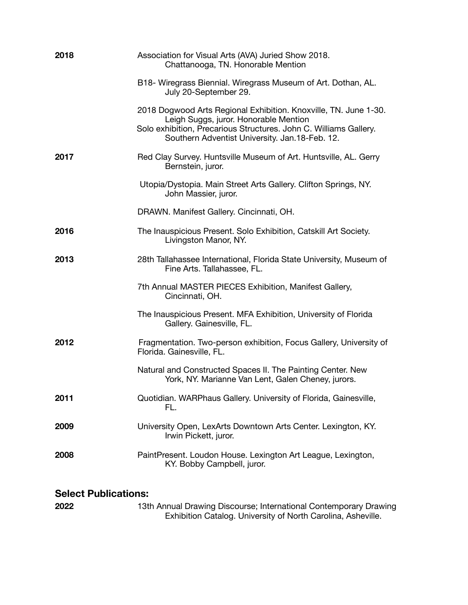| 2018 | Association for Visual Arts (AVA) Juried Show 2018.<br>Chattanooga, TN. Honorable Mention                                                                                                                                        |
|------|----------------------------------------------------------------------------------------------------------------------------------------------------------------------------------------------------------------------------------|
|      | B18- Wiregrass Biennial. Wiregrass Museum of Art. Dothan, AL.<br>July 20-September 29.                                                                                                                                           |
|      | 2018 Dogwood Arts Regional Exhibition. Knoxville, TN. June 1-30.<br>Leigh Suggs, juror. Honorable Mention<br>Solo exhibition, Precarious Structures. John C. Williams Gallery.<br>Southern Adventist University. Jan.18-Feb. 12. |
| 2017 | Red Clay Survey. Huntsville Museum of Art. Huntsville, AL. Gerry<br>Bernstein, juror.                                                                                                                                            |
|      | Utopia/Dystopia. Main Street Arts Gallery. Clifton Springs, NY.<br>John Massier, juror.                                                                                                                                          |
|      | DRAWN. Manifest Gallery. Cincinnati, OH.                                                                                                                                                                                         |
| 2016 | The Inauspicious Present. Solo Exhibition, Catskill Art Society.<br>Livingston Manor, NY.                                                                                                                                        |
| 2013 | 28th Tallahassee International, Florida State University, Museum of<br>Fine Arts. Tallahassee, FL.                                                                                                                               |
|      | 7th Annual MASTER PIECES Exhibition, Manifest Gallery,<br>Cincinnati, OH.                                                                                                                                                        |
|      | The Inauspicious Present. MFA Exhibition, University of Florida<br>Gallery. Gainesville, FL.                                                                                                                                     |
| 2012 | Fragmentation. Two-person exhibition, Focus Gallery, University of<br>Florida. Gainesville, FL.                                                                                                                                  |
|      | Natural and Constructed Spaces II. The Painting Center. New<br>York, NY. Marianne Van Lent, Galen Cheney, jurors.                                                                                                                |
| 2011 | Quotidian. WARPhaus Gallery. University of Florida, Gainesville,<br>FL.                                                                                                                                                          |
| 2009 | University Open, LexArts Downtown Arts Center. Lexington, KY.<br>Irwin Pickett, juror.                                                                                                                                           |
| 2008 | PaintPresent. Loudon House. Lexington Art League, Lexington,<br>KY. Bobby Campbell, juror.                                                                                                                                       |
|      |                                                                                                                                                                                                                                  |

## **Select Publications:**

**2022** 13th Annual Drawing Discourse; International Contemporary Drawing Exhibition Catalog. University of North Carolina, Asheville.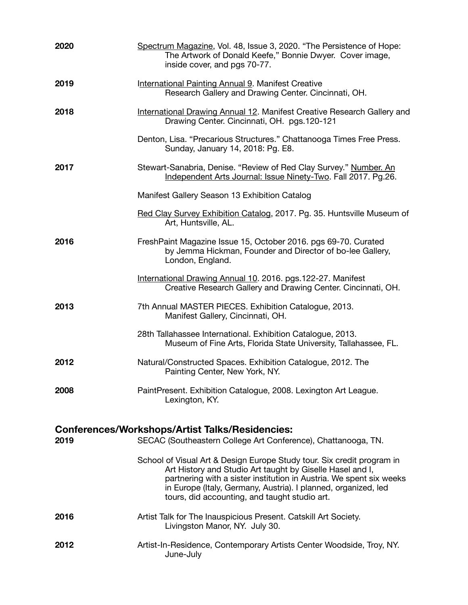| 2020                                                                                                                            | Spectrum Magazine, Vol. 48, Issue 3, 2020. "The Persistence of Hope:<br>The Artwork of Donald Keefe," Bonnie Dwyer. Cover image,<br>inside cover, and pgs 70-77.                                                                                                                                                              |  |
|---------------------------------------------------------------------------------------------------------------------------------|-------------------------------------------------------------------------------------------------------------------------------------------------------------------------------------------------------------------------------------------------------------------------------------------------------------------------------|--|
| 2019                                                                                                                            | International Painting Annual 9. Manifest Creative<br>Research Gallery and Drawing Center. Cincinnati, OH.                                                                                                                                                                                                                    |  |
| 2018                                                                                                                            | International Drawing Annual 12. Manifest Creative Research Gallery and<br>Drawing Center. Cincinnati, OH. pgs.120-121                                                                                                                                                                                                        |  |
|                                                                                                                                 | Denton, Lisa. "Precarious Structures." Chattanooga Times Free Press.<br>Sunday, January 14, 2018: Pg. E8.                                                                                                                                                                                                                     |  |
| 2017                                                                                                                            | Stewart-Sanabria, Denise. "Review of Red Clay Survey." Number. An<br>Independent Arts Journal: Issue Ninety-Two. Fall 2017. Pg.26.                                                                                                                                                                                            |  |
|                                                                                                                                 | Manifest Gallery Season 13 Exhibition Catalog                                                                                                                                                                                                                                                                                 |  |
|                                                                                                                                 | Red Clay Survey Exhibition Catalog, 2017. Pg. 35. Huntsville Museum of<br>Art, Huntsville, AL.                                                                                                                                                                                                                                |  |
| 2016                                                                                                                            | FreshPaint Magazine Issue 15, October 2016. pgs 69-70. Curated<br>by Jemma Hickman, Founder and Director of bo-lee Gallery,<br>London, England.                                                                                                                                                                               |  |
|                                                                                                                                 | International Drawing Annual 10. 2016. pgs.122-27. Manifest<br>Creative Research Gallery and Drawing Center. Cincinnati, OH.                                                                                                                                                                                                  |  |
| 2013                                                                                                                            | 7th Annual MASTER PIECES. Exhibition Catalogue, 2013.<br>Manifest Gallery, Cincinnati, OH.                                                                                                                                                                                                                                    |  |
|                                                                                                                                 | 28th Tallahassee International. Exhibition Catalogue, 2013.<br>Museum of Fine Arts, Florida State University, Tallahassee, FL.                                                                                                                                                                                                |  |
| 2012                                                                                                                            | Natural/Constructed Spaces. Exhibition Catalogue, 2012. The<br>Painting Center, New York, NY.                                                                                                                                                                                                                                 |  |
| 2008                                                                                                                            | PaintPresent. Exhibition Catalogue, 2008. Lexington Art League.<br>Lexington, KY.                                                                                                                                                                                                                                             |  |
| <b>Conferences/Workshops/Artist Talks/Residencies:</b><br>2019<br>SECAC (Southeastern College Art Conference), Chattanooga, TN. |                                                                                                                                                                                                                                                                                                                               |  |
|                                                                                                                                 | School of Visual Art & Design Europe Study tour. Six credit program in<br>Art History and Studio Art taught by Giselle Hasel and I,<br>partnering with a sister institution in Austria. We spent six weeks<br>in Europe (Italy, Germany, Austria). I planned, organized, led<br>tours, did accounting, and taught studio art. |  |
| 2016                                                                                                                            | Artist Talk for The Inauspicious Present. Catskill Art Society.<br>Livingston Manor, NY. July 30.                                                                                                                                                                                                                             |  |
| 2012                                                                                                                            | Artist-In-Residence, Contemporary Artists Center Woodside, Troy, NY.<br>June-July                                                                                                                                                                                                                                             |  |